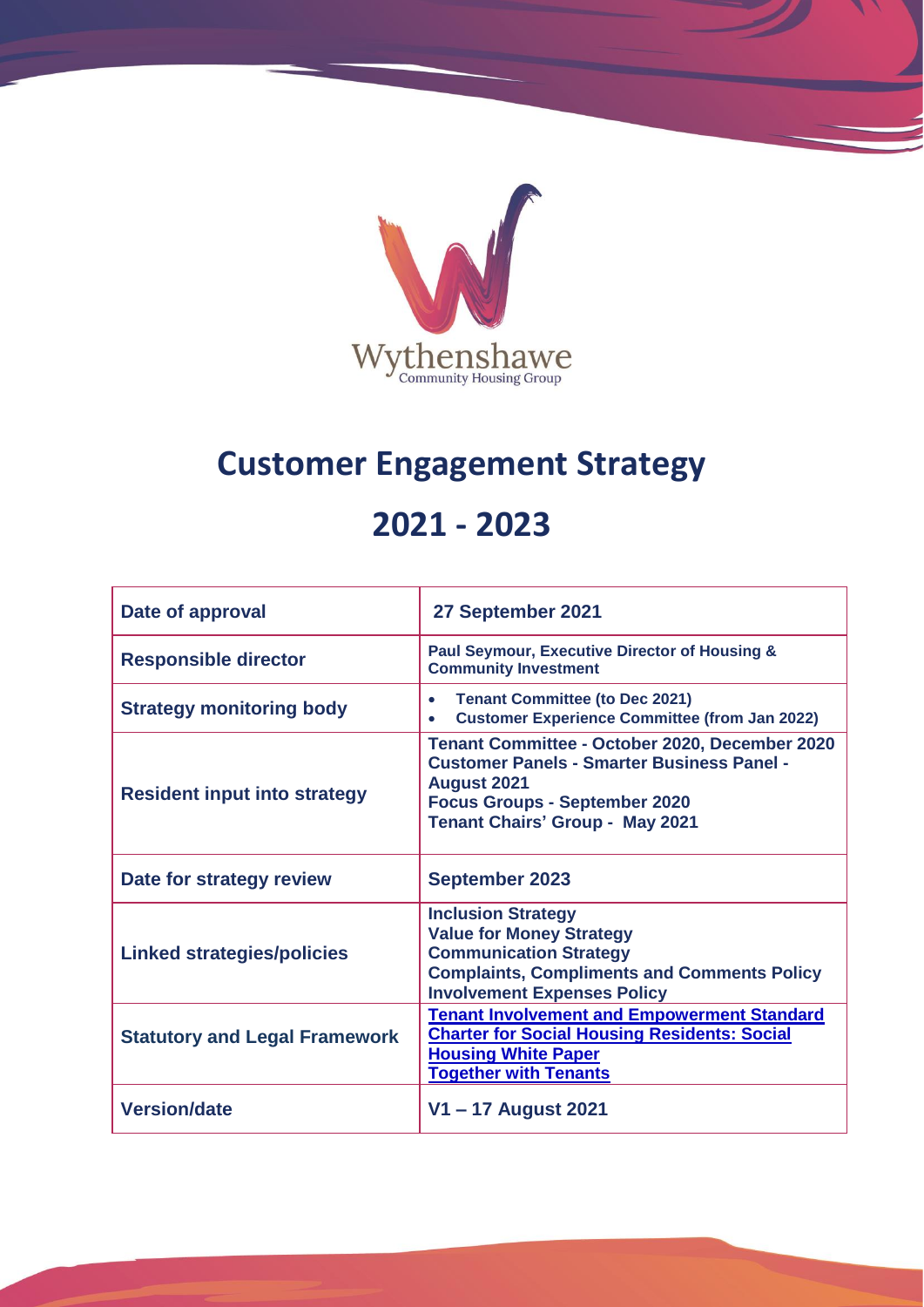

# **Customer Engagement Strategy**

# **2021 - 2023**

| Date of approval                     | 27 September 2021                                                                                                                                                                                           |
|--------------------------------------|-------------------------------------------------------------------------------------------------------------------------------------------------------------------------------------------------------------|
| <b>Responsible director</b>          | Paul Seymour, Executive Director of Housing &<br><b>Community Investment</b>                                                                                                                                |
| <b>Strategy monitoring body</b>      | <b>Tenant Committee (to Dec 2021)</b><br>$\bullet$<br><b>Customer Experience Committee (from Jan 2022)</b>                                                                                                  |
| <b>Resident input into strategy</b>  | Tenant Committee - October 2020, December 2020<br><b>Customer Panels - Smarter Business Panel -</b><br><b>August 2021</b><br><b>Focus Groups - September 2020</b><br><b>Tenant Chairs' Group - May 2021</b> |
| Date for strategy review             | <b>September 2023</b>                                                                                                                                                                                       |
| <b>Linked strategies/policies</b>    | <b>Inclusion Strategy</b><br><b>Value for Money Strategy</b><br><b>Communication Strategy</b><br><b>Complaints, Compliments and Comments Policy</b><br><b>Involvement Expenses Policy</b>                   |
| <b>Statutory and Legal Framework</b> | <b>Tenant Involvement and Empowerment Standard</b><br><b>Charter for Social Housing Residents: Social</b><br><b>Housing White Paper</b><br><b>Together with Tenants</b>                                     |
| <b>Version/date</b>                  | V1 – 17 August 2021                                                                                                                                                                                         |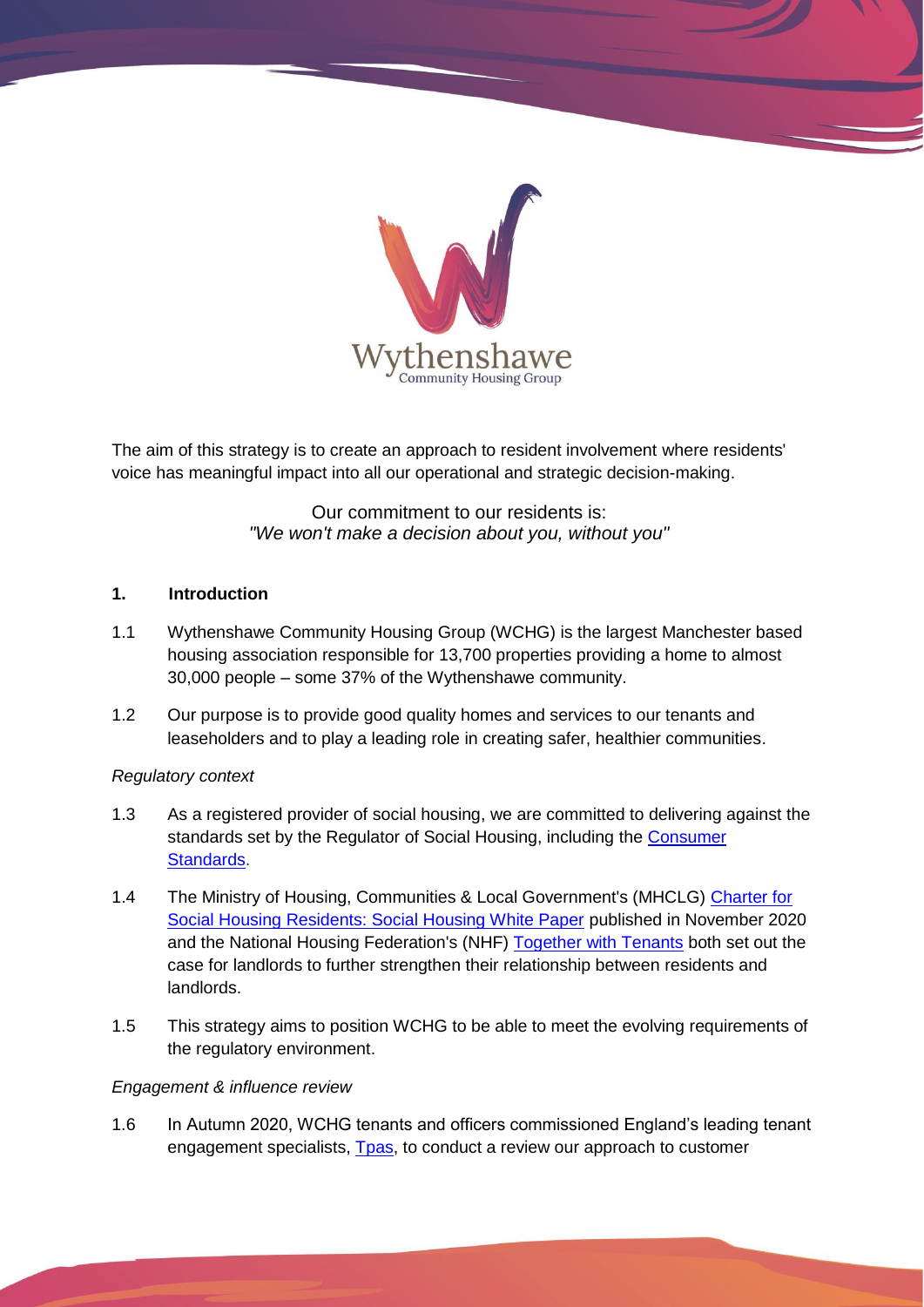

The aim of this strategy is to create an approach to resident involvement where residents' voice has meaningful impact into all our operational and strategic decision-making.

> Our commitment to our residents is: *"We won't make a decision about you, without you"*

# **1. Introduction**

- 1.1 Wythenshawe Community Housing Group (WCHG) is the largest Manchester based housing association responsible for 13,700 properties providing a home to almost 30,000 people – some 37% of the Wythenshawe community.
- 1.2 Our purpose is to provide good quality homes and services to our tenants and leaseholders and to play a leading role in creating safer, healthier communities.

# *Regulatory context*

- 1.3 As a registered provider of social housing, we are committed to delivering against the standards set by the Regulator of Social Housing, including the [Consumer](https://www.gov.uk/guidance/regulatory-standards#consumer-standards)  [Standards.](https://www.gov.uk/guidance/regulatory-standards#consumer-standards)
- 1.4 The Ministry of Housing, Communities & Local Government's (MHCLG) Charter for [Social Housing Residents: Social Housing White Paper](https://www.gov.uk/government/publications/the-charter-for-social-housing-residents-social-housing-white-paper) published in November 2020 and the National Housing Federation's (NHF) [Together with Tenants](https://www.housing.org.uk/our-work/together-with-tenants/) both set out the case for landlords to further strengthen their relationship between residents and landlords.
- 1.5 This strategy aims to position WCHG to be able to meet the evolving requirements of the regulatory environment.

# *Engagement & influence review*

1.6 In Autumn 2020, WCHG tenants and officers commissioned England's leading tenant engagement specialists, [Tpas,](https://www.tpas.org.uk/) to conduct a review our approach to customer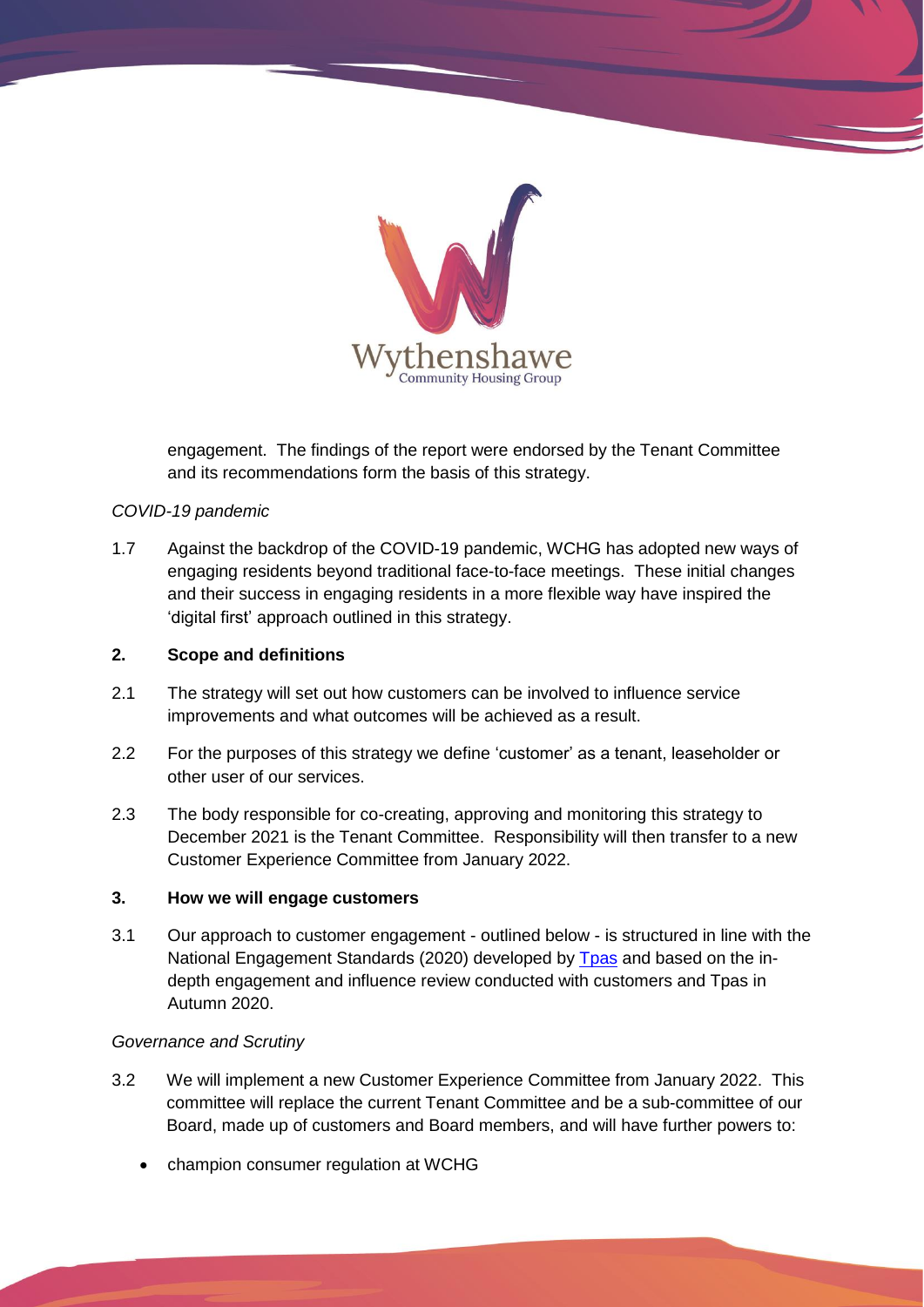

engagement. The findings of the report were endorsed by the Tenant Committee and its recommendations form the basis of this strategy.

# *COVID-19 pandemic*

1.7 Against the backdrop of the COVID-19 pandemic, WCHG has adopted new ways of engaging residents beyond traditional face-to-face meetings. These initial changes and their success in engaging residents in a more flexible way have inspired the 'digital first' approach outlined in this strategy.

# **2. Scope and definitions**

- 2.1 The strategy will set out how customers can be involved to influence service improvements and what outcomes will be achieved as a result.
- 2.2 For the purposes of this strategy we define 'customer' as a tenant, leaseholder or other user of our services.
- 2.3 The body responsible for co-creating, approving and monitoring this strategy to December 2021 is the Tenant Committee. Responsibility will then transfer to a new Customer Experience Committee from January 2022.

# **3. How we will engage customers**

3.1 Our approach to customer engagement - outlined below - is structured in line with the National Engagement Standards (2020) developed by [Tpas](https://www.tpas.org.uk/) and based on the indepth engagement and influence review conducted with customers and Tpas in Autumn 2020.

# *Governance and Scrutiny*

- 3.2 We will implement a new Customer Experience Committee from January 2022. This committee will replace the current Tenant Committee and be a sub-committee of our Board, made up of customers and Board members, and will have further powers to:
	- champion consumer regulation at WCHG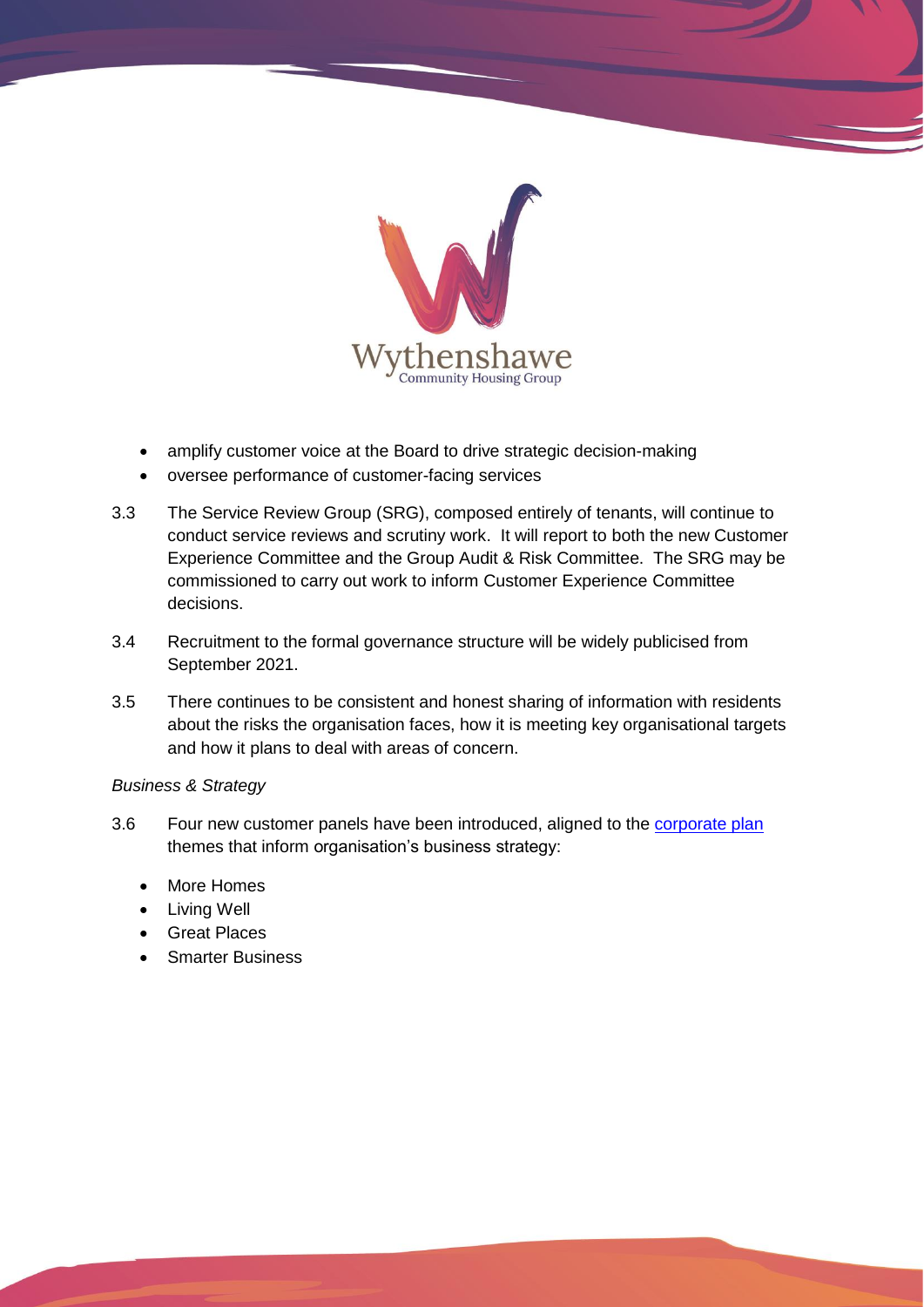

- amplify customer voice at the Board to drive strategic decision-making
- oversee performance of customer-facing services
- 3.3 The Service Review Group (SRG), composed entirely of tenants, will continue to conduct service reviews and scrutiny work. It will report to both the new Customer Experience Committee and the Group Audit & Risk Committee. The SRG may be commissioned to carry out work to inform Customer Experience Committee decisions.
- 3.4 Recruitment to the formal governance structure will be widely publicised from September 2021.
- 3.5 There continues to be consistent and honest sharing of information with residents about the risks the organisation faces, how it is meeting key organisational targets and how it plans to deal with areas of concern.

# *Business & Strategy*

- 3.6 Four new customer panels have been introduced, aligned to the [corporate plan](https://www.wchg.org.uk/flipbooks/CorpPlan/index.html#p=1) themes that inform organisation's business strategy:
	- More Homes
	- Living Well
	- Great Places
	- Smarter Business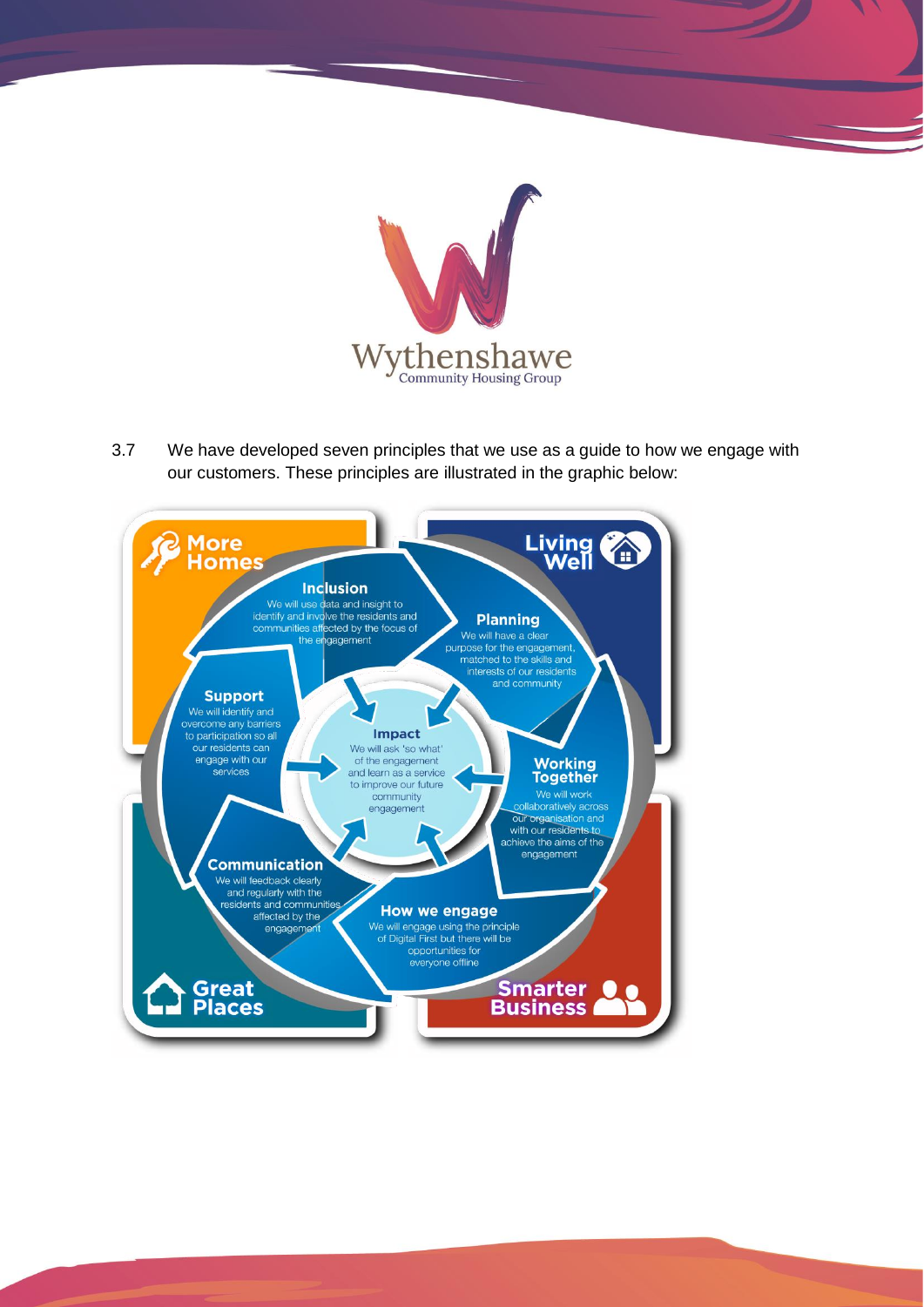

3.7 We have developed seven principles that we use as a guide to how we engage with our customers. These principles are illustrated in the graphic below:

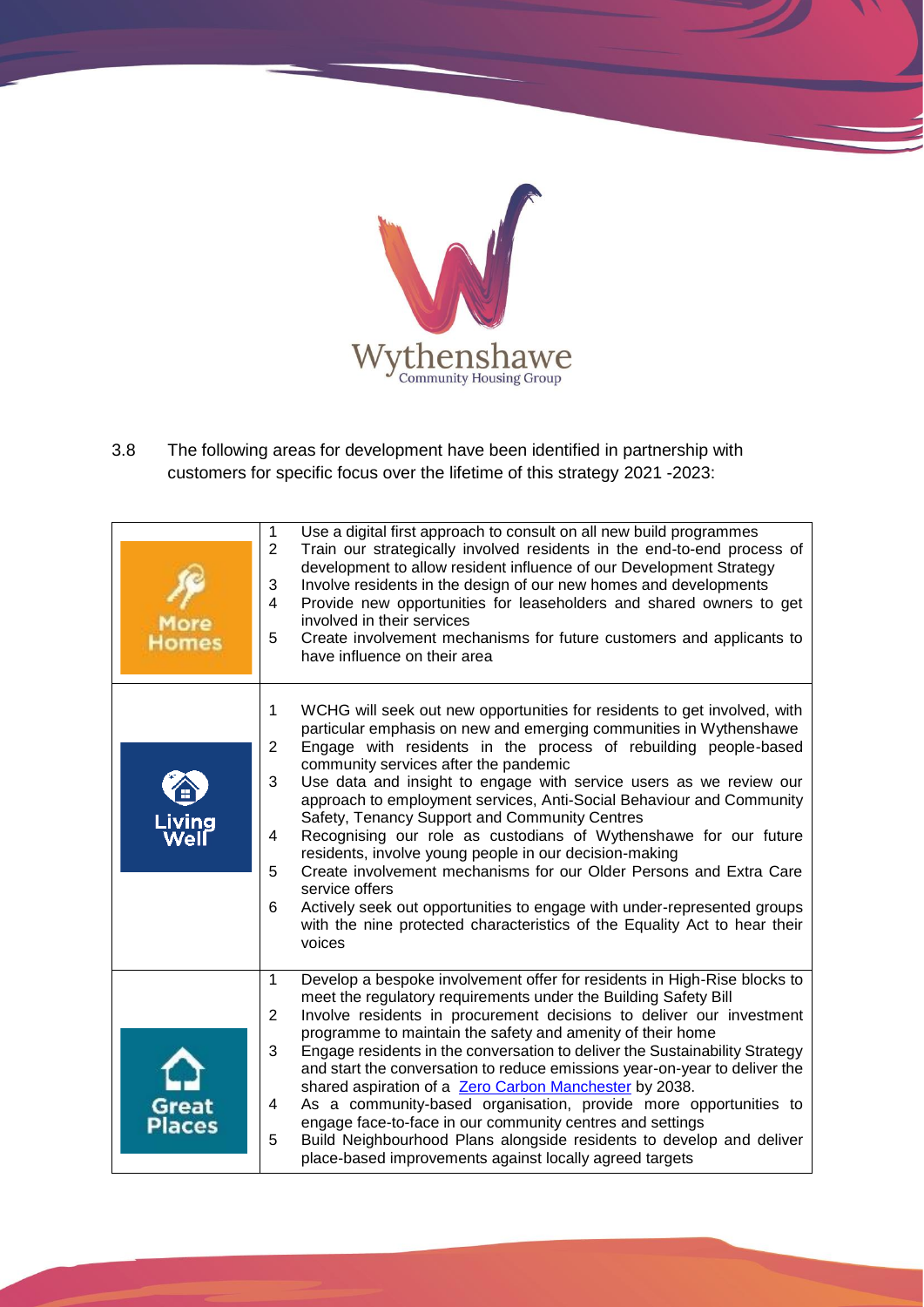

3.8 The following areas for development have been identified in partnership with customers for specific focus over the lifetime of this strategy 2021 -2023:

| More<br><b>Homes</b>   | 1<br>Use a digital first approach to consult on all new build programmes<br>$\overline{2}$<br>Train our strategically involved residents in the end-to-end process of<br>development to allow resident influence of our Development Strategy<br>Involve residents in the design of our new homes and developments<br>3<br>$\overline{4}$<br>Provide new opportunities for leaseholders and shared owners to get<br>involved in their services<br>5<br>Create involvement mechanisms for future customers and applicants to<br>have influence on their area                                                                                                                                                                                                                                                                                                                      |
|------------------------|---------------------------------------------------------------------------------------------------------------------------------------------------------------------------------------------------------------------------------------------------------------------------------------------------------------------------------------------------------------------------------------------------------------------------------------------------------------------------------------------------------------------------------------------------------------------------------------------------------------------------------------------------------------------------------------------------------------------------------------------------------------------------------------------------------------------------------------------------------------------------------|
| Living<br>We           | WCHG will seek out new opportunities for residents to get involved, with<br>1<br>particular emphasis on new and emerging communities in Wythenshawe<br>Engage with residents in the process of rebuilding people-based<br>2<br>community services after the pandemic<br>3<br>Use data and insight to engage with service users as we review our<br>approach to employment services, Anti-Social Behaviour and Community<br>Safety, Tenancy Support and Community Centres<br>Recognising our role as custodians of Wythenshawe for our future<br>4<br>residents, involve young people in our decision-making<br>5<br>Create involvement mechanisms for our Older Persons and Extra Care<br>service offers<br>Actively seek out opportunities to engage with under-represented groups<br>6<br>with the nine protected characteristics of the Equality Act to hear their<br>voices |
| Great<br><b>Places</b> | Develop a bespoke involvement offer for residents in High-Rise blocks to<br>$\mathbf 1$<br>meet the regulatory requirements under the Building Safety Bill<br>$\overline{2}$<br>Involve residents in procurement decisions to deliver our investment<br>programme to maintain the safety and amenity of their home<br>Engage residents in the conversation to deliver the Sustainability Strategy<br>3<br>and start the conversation to reduce emissions year-on-year to deliver the<br>shared aspiration of a Zero Carbon Manchester by 2038.<br>As a community-based organisation, provide more opportunities to<br>4<br>engage face-to-face in our community centres and settings<br>5<br>Build Neighbourhood Plans alongside residents to develop and deliver<br>place-based improvements against locally agreed targets                                                    |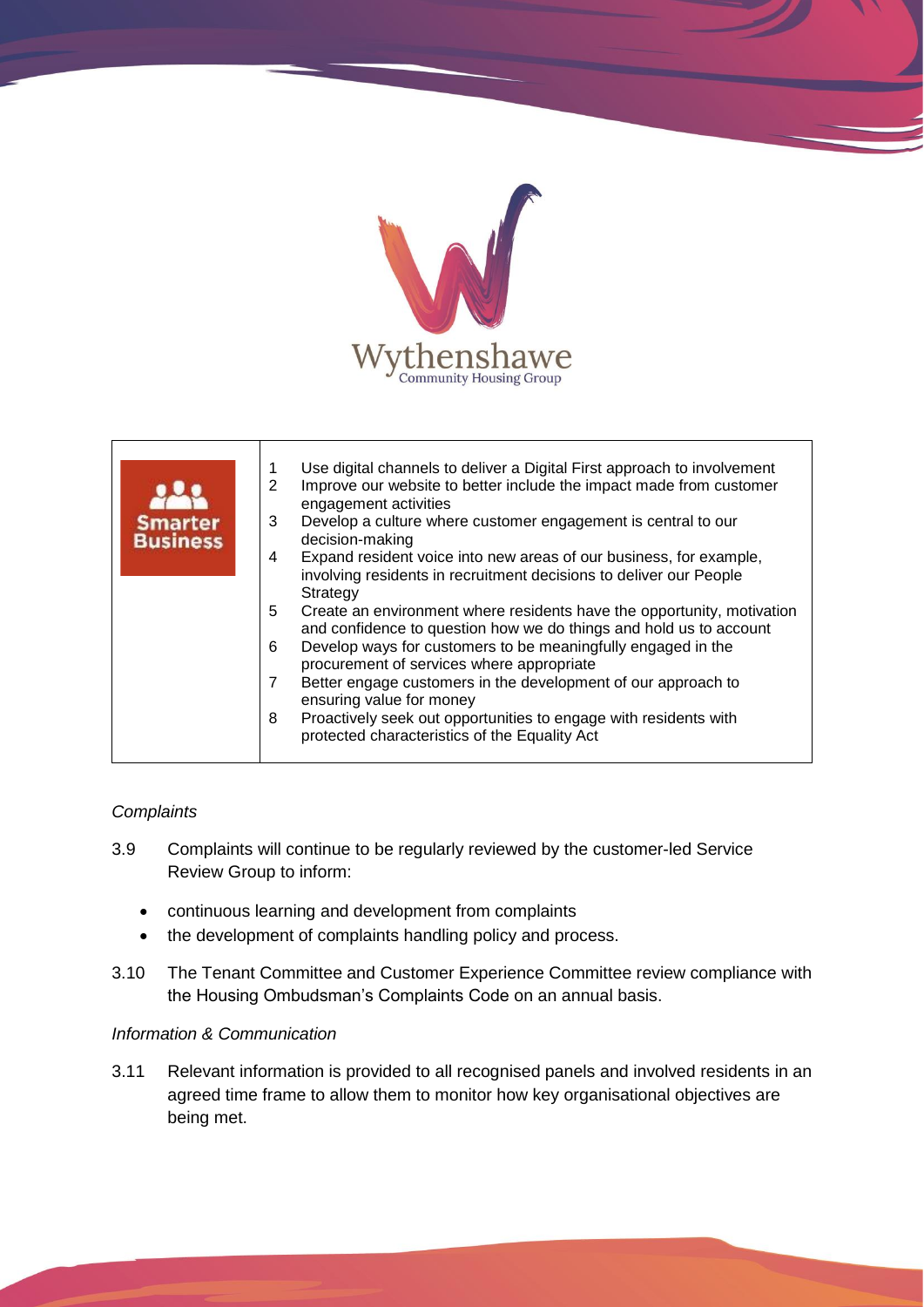

| <b>Smarter</b><br><b>Business</b> | Use digital channels to deliver a Digital First approach to involvement<br>1<br>Improve our website to better include the impact made from customer<br>2<br>engagement activities<br>Develop a culture where customer engagement is central to our<br>3<br>decision-making<br>Expand resident voice into new areas of our business, for example,<br>4<br>involving residents in recruitment decisions to deliver our People                                                                                 |
|-----------------------------------|-------------------------------------------------------------------------------------------------------------------------------------------------------------------------------------------------------------------------------------------------------------------------------------------------------------------------------------------------------------------------------------------------------------------------------------------------------------------------------------------------------------|
|                                   | Strategy<br>5<br>Create an environment where residents have the opportunity, motivation<br>and confidence to question how we do things and hold us to account<br>Develop ways for customers to be meaningfully engaged in the<br>6<br>procurement of services where appropriate<br>Better engage customers in the development of our approach to<br>7<br>ensuring value for money<br>Proactively seek out opportunities to engage with residents with<br>8<br>protected characteristics of the Equality Act |

# *Complaints*

- 3.9 Complaints will continue to be regularly reviewed by the customer-led Service Review Group to inform:
	- continuous learning and development from complaints
	- the development of complaints handling policy and process.
- 3.10 The Tenant Committee and Customer Experience Committee review compliance with the Housing Ombudsman's Complaints Code on an annual basis.

# *Information & Communication*

3.11 Relevant information is provided to all recognised panels and involved residents in an agreed time frame to allow them to monitor how key organisational objectives are being met.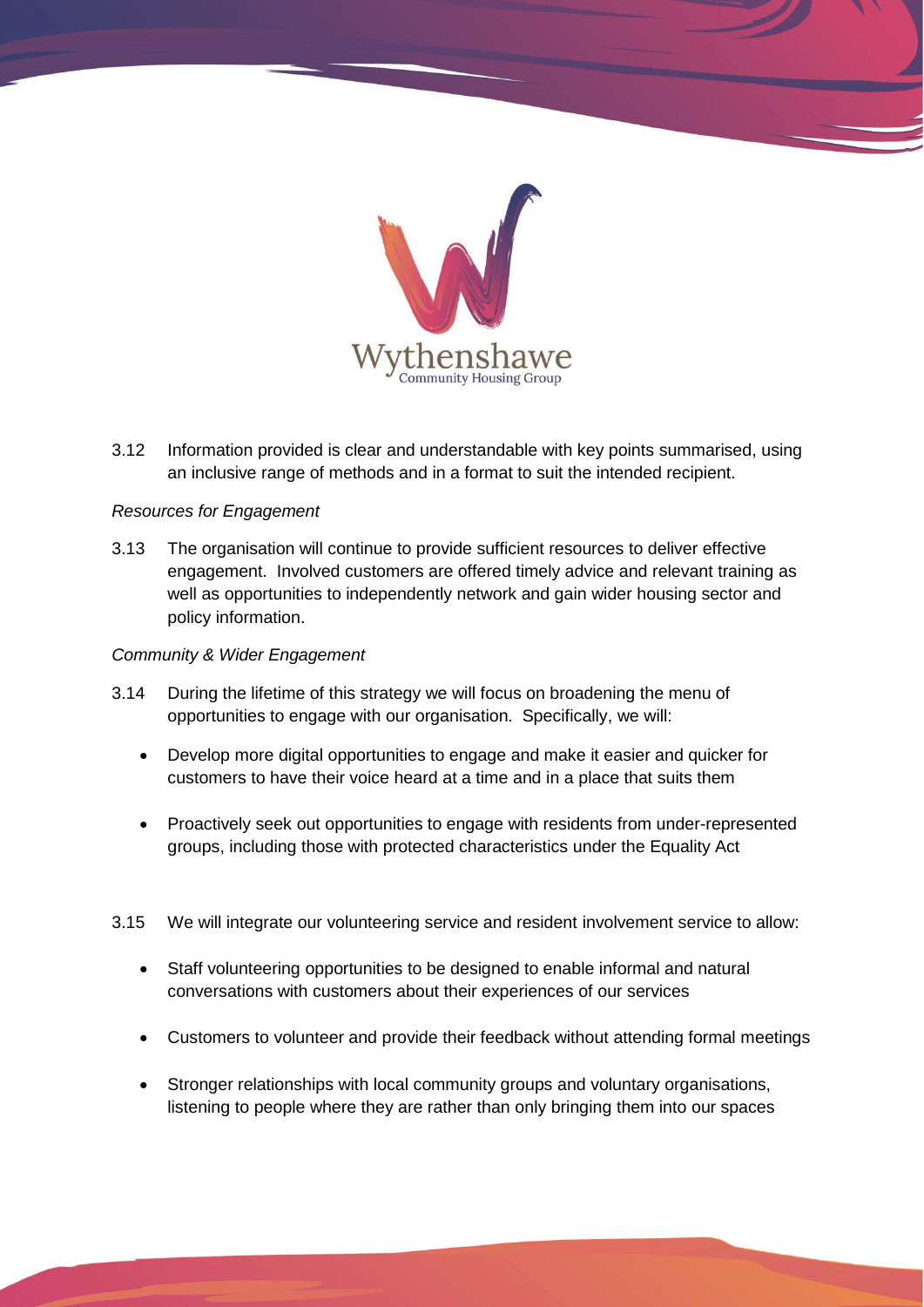

3.12 Information provided is clear and understandable with key points summarised, using an inclusive range of methods and in a format to suit the intended recipient.

# *Resources for Engagement*

3.13 The organisation will continue to provide sufficient resources to deliver effective engagement. Involved customers are offered timely advice and relevant training as well as opportunities to independently network and gain wider housing sector and policy information.

### *Community & Wider Engagement*

- 3.14 During the lifetime of this strategy we will focus on broadening the menu of opportunities to engage with our organisation. Specifically, we will:
	- Develop more digital opportunities to engage and make it easier and quicker for customers to have their voice heard at a time and in a place that suits them
	- Proactively seek out opportunities to engage with residents from under-represented groups, including those with protected characteristics under the Equality Act
- 3.15 We will integrate our volunteering service and resident involvement service to allow:
	- Staff volunteering opportunities to be designed to enable informal and natural conversations with customers about their experiences of our services
	- Customers to volunteer and provide their feedback without attending formal meetings
	- Stronger relationships with local community groups and voluntary organisations, listening to people where they are rather than only bringing them into our spaces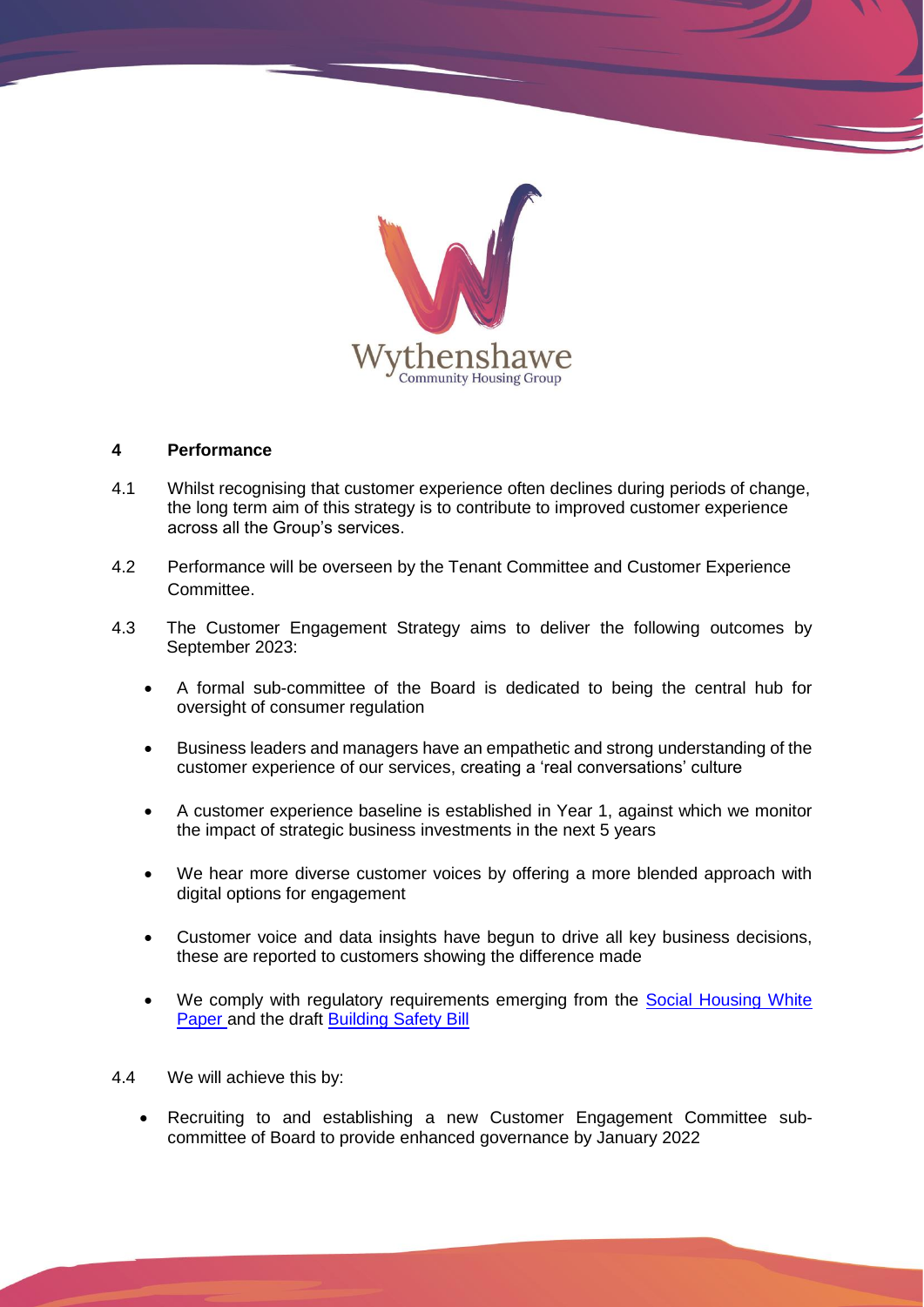

#### **4 Performance**

- 4.1 Whilst recognising that customer experience often declines during periods of change, the long term aim of this strategy is to contribute to improved customer experience across all the Group's services.
- 4.2 Performance will be overseen by the Tenant Committee and Customer Experience Committee.
- 4.3 The Customer Engagement Strategy aims to deliver the following outcomes by September 2023:
	- A formal sub-committee of the Board is dedicated to being the central hub for oversight of consumer regulation
	- Business leaders and managers have an empathetic and strong understanding of the customer experience of our services, creating a 'real conversations' culture
	- A customer experience baseline is established in Year 1, against which we monitor the impact of strategic business investments in the next 5 years
	- We hear more diverse customer voices by offering a more blended approach with digital options for engagement
	- Customer voice and data insights have begun to drive all key business decisions, these are reported to customers showing the difference made
	- We comply with regulatory requirements emerging from the Social Housing White [Paper a](https://www.gov.uk/government/publications/the-charter-for-social-housing-residents-social-housing-white-paper)nd the draft [Building Safety Bill](https://www.gov.uk/government/publications/draft-building-safety-bill)
- 4.4 We will achieve this by:
	- Recruiting to and establishing a new Customer Engagement Committee subcommittee of Board to provide enhanced governance by January 2022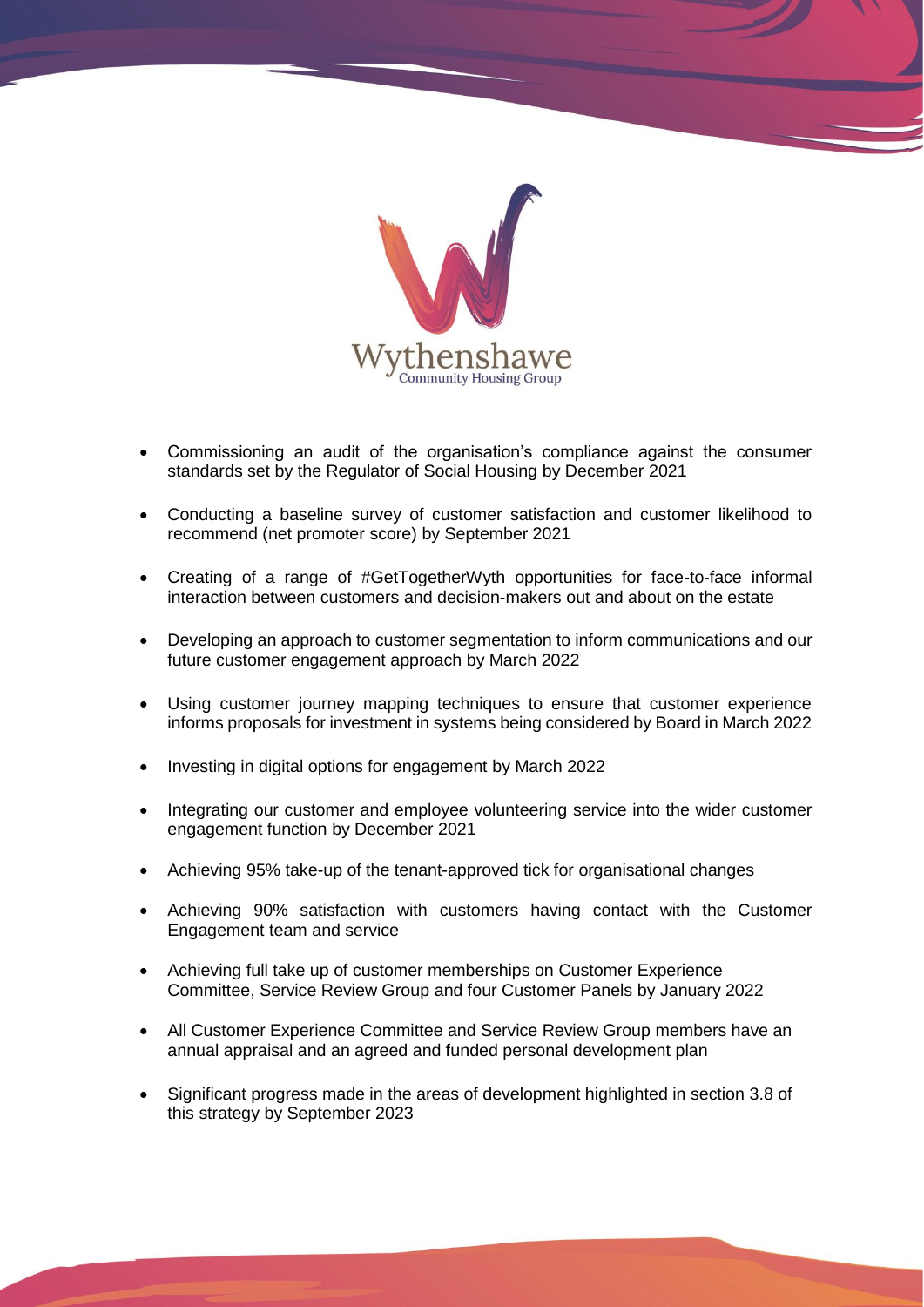

- Commissioning an audit of the organisation's compliance against the consumer standards set by the Regulator of Social Housing by December 2021
- Conducting a baseline survey of customer satisfaction and customer likelihood to recommend (net promoter score) by September 2021
- Creating of a range of #GetTogetherWyth opportunities for face-to-face informal interaction between customers and decision-makers out and about on the estate
- Developing an approach to customer segmentation to inform communications and our future customer engagement approach by March 2022
- Using customer journey mapping techniques to ensure that customer experience informs proposals for investment in systems being considered by Board in March 2022
- Investing in digital options for engagement by March 2022
- Integrating our customer and employee volunteering service into the wider customer engagement function by December 2021
- Achieving 95% take-up of the tenant-approved tick for organisational changes
- Achieving 90% satisfaction with customers having contact with the Customer Engagement team and service
- Achieving full take up of customer memberships on Customer Experience Committee, Service Review Group and four Customer Panels by January 2022
- All Customer Experience Committee and Service Review Group members have an annual appraisal and an agreed and funded personal development plan
- Significant progress made in the areas of development highlighted in section 3.8 of this strategy by September 2023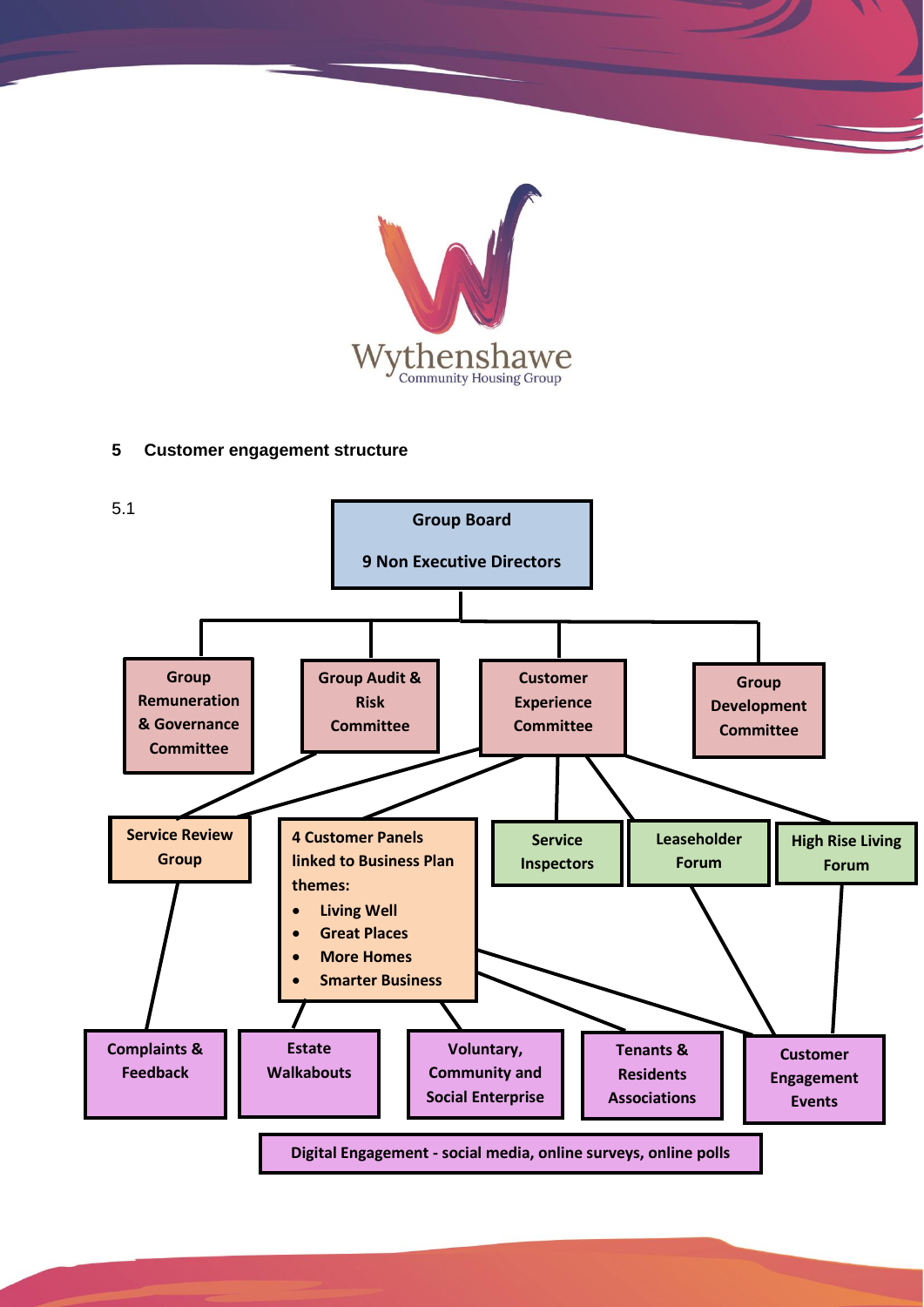

# **5 Customer engagement structure**